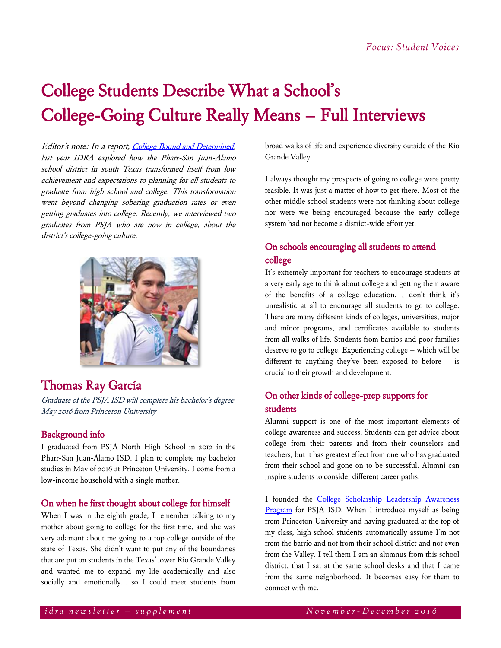# College Students Describe What a School's College-Going Culture Really Means – Full Interviews

Editor's note: In a report, [College Bound and Determined,](http://www.idra.org/College_Bound_and_Determined/) last year IDRA explored how the Pharr-San Juan-Alamo school district in south Texas transformed itself from low achievement and expectations to planning for all students to graduate from high school and college. This transformation went beyond changing sobering graduation rates or even getting graduates into college. Recently, we interviewed two graduates from PSJA who are now in college, about the district's college-going culture.



# Thomas Ray García

Graduate of the PSJA ISD will complete his bachelor's degree May 2016 from Princeton University

## Background info

I graduated from PSJA North High School in 2012 in the Pharr-San Juan-Alamo ISD. I plan to complete my bachelor studies in May of 2016 at Princeton University. I come from a low-income household with a single mother.

## On when he first thought about college for himself

When I was in the eighth grade, I remember talking to my mother about going to college for the first time, and she was very adamant about me going to a top college outside of the state of Texas. She didn't want to put any of the boundaries that are put on students in the Texas' lower Rio Grande Valley and wanted me to expand my life academically and also socially and emotionally… so I could meet students from

broad walks of life and experience diversity outside of the Rio Grande Valley.

I always thought my prospects of going to college were pretty feasible. It was just a matter of how to get there. Most of the other middle school students were not thinking about college nor were we being encouraged because the early college system had not become a district-wide effort yet.

## On schools encouraging all students to attend college

It's extremely important for teachers to encourage students at a very early age to think about college and getting them aware of the benefits of a college education. I don't think it's unrealistic at all to encourage all students to go to college. There are many different kinds of colleges, universities, major and minor programs, and certificates available to students from all walks of life. Students from barrios and poor families deserve to go to college. Experiencing college – which will be different to anything they've been exposed to before – is crucial to their growth and development.

## On other kinds of college-prep supports for students

Alumni support is one of the most important elements of college awareness and success. Students can get advice about college from their parents and from their counselors and teachers, but it has greatest effect from one who has graduated from their school and gone on to be successful. Alumni can inspire students to consider different career paths.

I founded the [College Scholarship Leadership Awareness](https://www.facebook.com/PSJACSLAP/)  [Program](https://www.facebook.com/PSJACSLAP/) for PSJA ISD. When I introduce myself as being from Princeton University and having graduated at the top of my class, high school students automatically assume I'm not from the barrio and not from their school district and not even from the Valley. I tell them I am an alumnus from this school district, that I sat at the same school desks and that I came from the same neighborhood. It becomes easy for them to connect with me.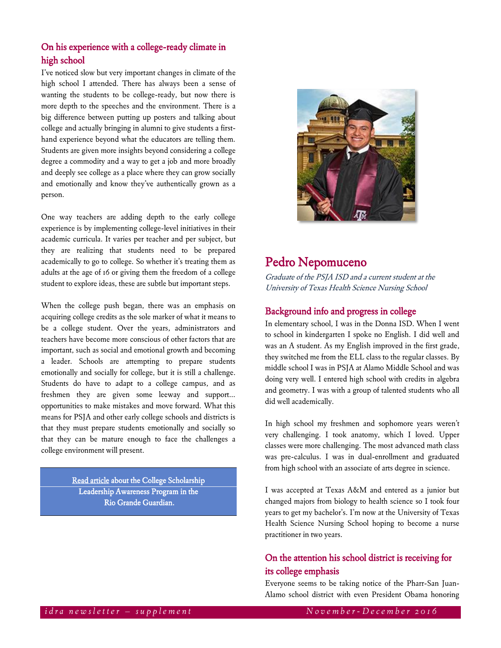## On his experience with a college-ready climate in high school

I've noticed slow but very important changes in climate of the high school I attended. There has always been a sense of wanting the students to be college-ready, but now there is more depth to the speeches and the environment. There is a big difference between putting up posters and talking about college and actually bringing in alumni to give students a firsthand experience beyond what the educators are telling them. Students are given more insights beyond considering a college degree a commodity and a way to get a job and more broadly and deeply see college as a place where they can grow socially and emotionally and know they've authentically grown as a person.

One way teachers are adding depth to the early college experience is by implementing college-level initiatives in their academic curricula. It varies per teacher and per subject, but they are realizing that students need to be prepared academically to go to college. So whether it's treating them as adults at the age of 16 or giving them the freedom of a college student to explore ideas, these are subtle but important steps.

When the college push began, there was an emphasis on acquiring college credits as the sole marker of what it means to be a college student. Over the years, administrators and teachers have become more conscious of other factors that are important, such as social and emotional growth and becoming a leader. Schools are attempting to prepare students emotionally and socially for college, but it is still a challenge. Students do have to adapt to a college campus, and as freshmen they are given some leeway and support... opportunities to make mistakes and move forward. What this means for PSJA and other early college schools and districts is that they must prepare students emotionally and socially so that they can be mature enough to face the challenges a college environment will present.

> [Read article a](https://riograndeguardian.com/psja-alumni-mentor-students-on-going-to-university/)bout the College Scholarship Leadership Awareness Program in the Rio Grande Guardian.



## Pedro Nepomuceno

Graduate of the PSJA ISD and a current student at the University of Texas Health Science Nursing School

### Background info and progress in college

In elementary school, I was in the Donna ISD. When I went to school in kindergarten I spoke no English. I did well and was an A student. As my English improved in the first grade, they switched me from the ELL class to the regular classes. By middle school I was in PSJA at Alamo Middle School and was doing very well. I entered high school with credits in algebra and geometry. I was with a group of talented students who all did well academically.

In high school my freshmen and sophomore years weren't very challenging. I took anatomy, which I loved. Upper classes were more challenging. The most advanced math class was pre-calculus. I was in dual-enrollment and graduated from high school with an associate of arts degree in science.

I was accepted at Texas A&M and entered as a junior but changed majors from biology to health science so I took four years to get my bachelor's. I'm now at the University of Texas Health Science Nursing School hoping to become a nurse practitioner in two years.

## On the attention his school district is receiving for its college emphasis

Everyone seems to be taking notice of the Pharr-San Juan-Alamo school district with even President Obama honoring